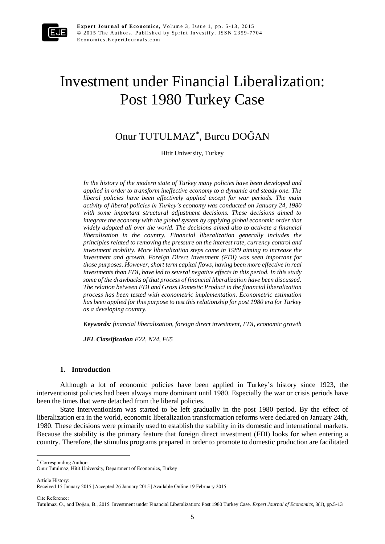

**Expert Journal of Economics, Volume 3, Issue 1, pp. 5-13, 2015**  $© 2015$  The Authors. Published by Sprint Investify. ISSN 2359-7704 Economics.ExpertJournals.com

# Investment under Financial Liberalization: Post 1980 Turkey Case

# Onur TUTULMAZ\* , Burcu DOĞAN

Hitit University, Turkey

*In the history of the modern state of Turkey many policies have been developed and applied in order to transform ineffective economy to a dynamic and steady one. The liberal policies have been effectively applied except for war periods. The main activity of liberal policies in Turkey's economy was conducted on January 24, 1980 with some important structural adjustment decisions. These decisions aimed to integrate the economy with the global system by applying global economic order that widely adopted all over the world. The decisions aimed also to activate a financial liberalization in the country. Financial liberalization generally includes the principles related to removing the pressure on the interest rate, currency control and investment mobility. More liberalization steps came in 1989 aiming to increase the investment and growth. Foreign Direct Investment (FDI) was seen important for those purposes. However, short term capital flows, having been more effective in real investments than FDI, have led to several negative effects in this period. In this study some of the drawbacks of that process of financial liberalization have been discussed. The relation between FDI and Gross Domestic Product in the financial liberalization process has been tested with econometric implementation. Econometric estimation has been applied for this purpose to test this relationship for post 1980 era for Turkey as a developing country.* 

*Keywords: financial liberalization, foreign direct investment, FDI, economic growth*

*JEL Classification E22, N24, F65*

#### **1. Introduction**

Although a lot of economic policies have been applied in Turkey's history since 1923, the interventionist policies had been always more dominant until 1980. Especially the war or crisis periods have been the times that were detached from the liberal policies.

State interventionism was started to be left gradually in the post 1980 period. By the effect of liberalization era in the world, economic liberalization transformation reforms were declared on January 24th, 1980. These decisions were primarily used to establish the stability in its domestic and international markets. Because the stability is the primary feature that foreign direct investment (FDI) looks for when entering a country. Therefore, the stimulus programs prepared in order to promote to domestic production are facilitated

\* Corresponding Author:

Article History:

 $\ddot{\phantom{a}}$ 

Cite Reference:

Onur Tutulmaz, Hitit University, Department of Economics, Turkey

Received 15 January 2015 | Accepted 26 January 2015 | Available Online 19 February 2015

Tutulmaz, O., and Doğan, B., 2015. Investment under Financial Liberalization: Post 1980 Turkey Case. *Expert Journal of Economics*, 3(1), pp.5-13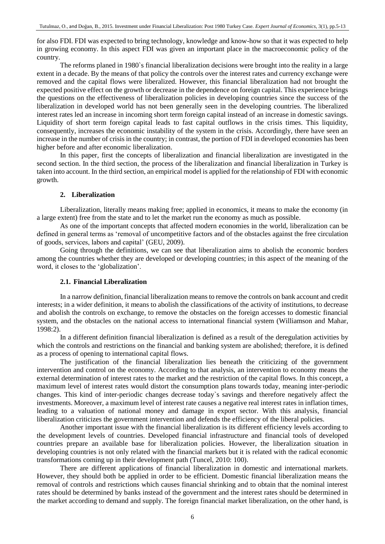for also FDI. FDI was expected to bring technology, knowledge and know-how so that it was expected to help in growing economy. In this aspect FDI was given an important place in the macroeconomic policy of the country.

The reforms planed in 1980`s financial liberalization decisions were brought into the reality in a large extent in a decade. By the means of that policy the controls over the interest rates and currency exchange were removed and the capital flows were liberalized. However, this financial liberalization had not brought the expected positive effect on the growth or decrease in the dependence on foreign capital. This experience brings the questions on the effectiveness of liberalization policies in developing countries since the success of the liberalization in developed world has not been generally seen in the developing countries. The liberalized interest rates led an increase in incoming short term foreign capital instead of an increase in domestic savings. Liquidity of short term foreign capital leads to fast capital outflows in the crisis times. This liquidity, consequently, increases the economic instability of the system in the crisis. Accordingly, there have seen an increase in the number of crisis in the country; in contrast, the portion of FDI in developed economies has been higher before and after economic liberalization.

In this paper, first the concepts of liberalization and financial liberalization are investigated in the second section. In the third section, the process of the liberalization and financial liberalization in Turkey is taken into account. In the third section, an empirical model is applied for the relationship of FDI with economic growth.

#### **2. Liberalization**

Liberalization, literally means making free; applied in economics, it means to make the economy (in a large extent) free from the state and to let the market run the economy as much as possible.

As one of the important concepts that affected modern economies in the world, liberalization can be defined in general terms as 'removal of uncompetitive factors and of the obstacles against the free circulation of goods, services, labors and capital' (GEU, 2009).

Going through the definitions, we can see that liberalization aims to abolish the economic borders among the countries whether they are developed or developing countries; in this aspect of the meaning of the word, it closes to the 'globalization'.

#### **2.1. Financial Liberalization**

In a narrow definition, financial liberalization means to remove the controls on bank account and credit interests; in a wider definition, it means to abolish the classifications of the activity of institutions, to decrease and abolish the controls on exchange, to remove the obstacles on the foreign accesses to domestic financial system, and the obstacles on the national access to international financial system (Williamson and Mahar, 1998:2).

In a different definition financial liberalization is defined as a result of the deregulation activities by which the controls and restrictions on the financial and banking system are abolished; therefore, it is defined as a process of opening to international capital flows.

The justification of the financial liberalization lies beneath the criticizing of the government intervention and control on the economy. According to that analysis, an intervention to economy means the external determination of interest rates to the market and the restriction of the capital flows. In this concept, a maximum level of interest rates would distort the consumption plans towards today, meaning inter-periodic changes. This kind of inter-periodic changes decrease today`s savings and therefore negatively affect the investments. Moreover, a maximum level of interest rate causes a negative real interest rates in inflation times, leading to a valuation of national money and damage in export sector. With this analysis, financial liberalization criticizes the government intervention and defends the efficiency of the liberal policies.

Another important issue with the financial liberalization is its different efficiency levels according to the development levels of countries. Developed financial infrastructure and financial tools of developed countries prepare an available base for liberalization policies. However, the liberalization situation in developing countries is not only related with the financial markets but it is related with the radical economic transformations coming up in their development path (Tuncel, 2010: 100).

There are different applications of financial liberalization in domestic and international markets. However, they should both be applied in order to be efficient. Domestic financial liberalization means the removal of controls and restrictions which causes financial shrinking and to obtain that the nominal interest rates should be determined by banks instead of the government and the interest rates should be determined in the market according to demand and supply. The foreign financial market liberalization, on the other hand, is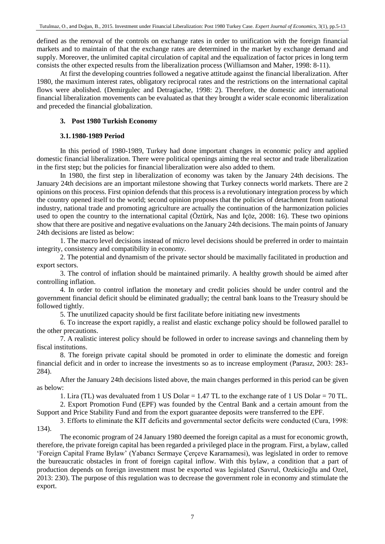defined as the removal of the controls on exchange rates in order to unification with the foreign financial markets and to maintain of that the exchange rates are determined in the market by exchange demand and supply. Moreover, the unlimited capital circulation of capital and the equalization of factor prices in long term consists the other expected results from the liberalization process (Williamson and Maher, 1998: 8-11).

At first the developing countries followed a negative attitude against the financial liberalization. After 1980, the maximum interest rates, obligatory reciprocal rates and the restrictions on the international capital flows were abolished. (Demirgulec and Detragiache, 1998: 2). Therefore, the domestic and international financial liberalization movements can be evaluated as that they brought a wider scale economic liberalization and preceded the financial globalization.

# **3. Post 1980 Turkish Economy**

# **3.1. 1980-1989 Period**

In this period of 1980-1989, Turkey had done important changes in economic policy and applied domestic financial liberalization. There were political openings aiming the real sector and trade liberalization in the first step; but the policies for financial liberalization were also added to them.

In 1980, the first step in liberalization of economy was taken by the January 24th decisions. The January 24th decisions are an important milestone showing that Turkey connects world markets. There are 2 opinions on this process. First opinion defends that this process is a revolutionary integration process by which the country opened itself to the world; second opinion proposes that the policies of detachment from national industry, national trade and promoting agriculture are actually the continuation of the harmonization policies used to open the country to the international capital (Öztürk, Nas and Içöz, 2008: 16). These two opinions show that there are positive and negative evaluations on the January 24th decisions. The main points of January 24th decisions are listed as below:

1. The macro level decisions instead of micro level decisions should be preferred in order to maintain integrity, consistency and compatibility in economy.

2. The potential and dynamism of the private sector should be maximally facilitated in production and export sectors.

3. The control of inflation should be maintained primarily. A healthy growth should be aimed after controlling inflation.

4. In order to control inflation the monetary and credit policies should be under control and the government financial deficit should be eliminated gradually; the central bank loans to the Treasury should be followed tightly.

5. The unutilized capacity should be first facilitate before initiating new investments

6. To increase the export rapidly, a realist and elastic exchange policy should be followed parallel to the other precautions.

7. A realistic interest policy should be followed in order to increase savings and channeling them by fiscal institutions.

8. The foreign private capital should be promoted in order to eliminate the domestic and foreign financial deficit and in order to increase the investments so as to increase employment (Parasız, 2003: 283- 284).

After the January 24th decisions listed above, the main changes performed in this period can be given as below:

1. Lira (TL) was devaluated from 1 US Dolar = 1.47 TL to the exchange rate of 1 US Dolar = 70 TL.

2. Export Promotion Fund (EPF) was founded by the Central Bank and a certain amount from the Support and Price Stability Fund and from the export guarantee deposits were transferred to the EPF.

3. Efforts to eliminate the KİT deficits and governmental sector deficits were conducted (Cura, 1998: 134).

The economic program of 24 January 1980 deemed the foreign capital as a must for economic growth, therefore, the private foreign capital has been regarded a privileged place in the program. First, a bylaw, called 'Foreign Capital Frame Bylaw' (Yabancı Sermaye Çerçeve Kararnamesi), was legislated in order to remove the bureaucratic obstacles in front of foreign capital inflow. With this bylaw, a condition that a part of production depends on foreign investment must be exported was legislated (Savrul, Ozekicioğlu and Ozel, 2013: 230). The purpose of this regulation was to decrease the government role in economy and stimulate the export.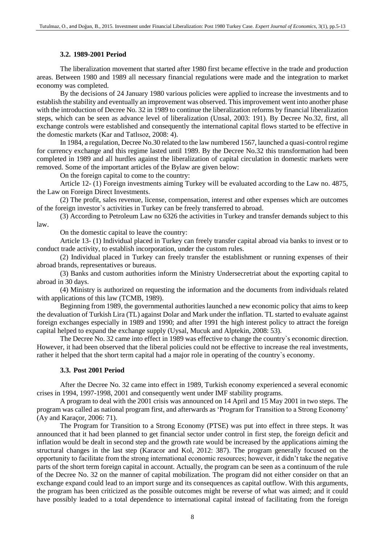### **3.2. 1989-2001 Period**

The liberalization movement that started after 1980 first became effective in the trade and production areas. Between 1980 and 1989 all necessary financial regulations were made and the integration to market economy was completed.

By the decisions of 24 January 1980 various policies were applied to increase the investments and to establish the stability and eventually an improvement was observed. This improvement went into another phase with the introduction of Decree No. 32 in 1989 to continue the liberalization reforms by financial liberalization steps, which can be seen as advance level of liberalization (Unsal, 2003: 191). By Decree No.32, first, all exchange controls were established and consequently the international capital flows started to be effective in the domestic markets (Kar and Tatlısoz, 2008: 4).

In 1984, a regulation, Decree No.30 related to the law numbered 1567, launched a quasi-control regime for currency exchange and this regime lasted until 1989. By the Decree No.32 this transformation had been completed in 1989 and all hurdles against the liberalization of capital circulation in domestic markets were removed. Some of the important articles of the Bylaw are given below:

On the foreign capital to come to the country:

Article 12- (1) Foreign investments aiming Turkey will be evaluated according to the Law no. 4875, the Law on Foreign Direct Investments.

(2) The profit, sales revenue, license, compensation, interest and other expenses which are outcomes of the foreign investor`s activities in Turkey can be freely transferred to abroad.

(3) According to Petroleum Law no 6326 the activities in Turkey and transfer demands subject to this law.

On the domestic capital to leave the country:

Article 13- (1) Individual placed in Turkey can freely transfer capital abroad via banks to invest or to conduct trade activity, to establish incorporation, under the custom rules.

(2) Individual placed in Turkey can freely transfer the establishment or running expenses of their abroad brands, representatives or bureaus.

(3) Banks and custom authorities inform the Ministry Undersecretriat about the exporting capital to abroad in 30 days.

(4) Ministry is authorized on requesting the information and the documents from individuals related with applications of this law (TCMB, 1989).

Beginning from 1989, the governmental authorities launched a new economic policy that aims to keep the devaluation of Turkish Lira (TL) against Dolar and Mark under the inflation. TL started to evaluate against foreign exchanges especially in 1989 and 1990; and after 1991 the high interest policy to attract the foreign capital helped to expand the exchange supply (Uysal, Mucuk and Alptekin, 2008: 53).

The Decree No. 32 came into effect in 1989 was effective to change the country`s economic direction. However, it had been observed that the liberal policies could not be effective to increase the real investments, rather it helped that the short term capital had a major role in operating of the country`s economy.

#### **3.3. Post 2001 Period**

After the Decree No. 32 came into effect in 1989, Turkish economy experienced a several economic crises in 1994, 1997-1998, 2001 and consequently went under IMF stability programs.

A program to deal with the 2001 crisis was announced on 14 April and 15 May 2001 in two steps. The program was called as national program first, and afterwards as 'Program for Transition to a Strong Economy' (Ay and Karaçor, 2006: 71).

The Program for Transition to a Strong Economy (PTSE) was put into effect in three steps. It was announced that it had been planned to get financial sector under control in first step, the foreign deficit and inflation would be dealt in second step and the growth rate would be increased by the applications aiming the structural changes in the last step (Karacor and Kol, 2012: 387). The program generally focused on the opportunity to facilitate from the strong international economic resources; however, it didn't take the negative parts of the short term foreign capital in account. Actually, the program can be seen as a continuum of the rule of the Decree No. 32 on the manner of capital mobilization. The program did not either consider on that an exchange expand could lead to an import surge and its consequences as capital outflow. With this arguments, the program has been criticized as the possible outcomes might be reverse of what was aimed; and it could have possibly leaded to a total dependence to international capital instead of facilitating from the foreign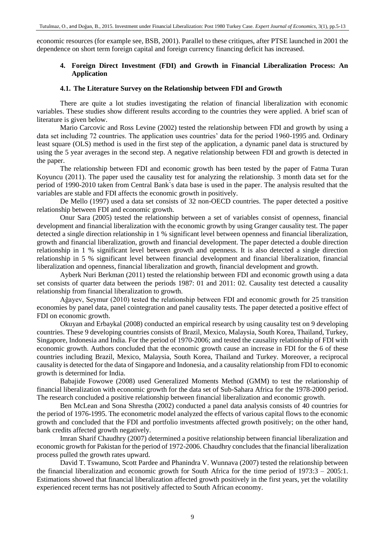economic resources (for example see, BSB, 2001). Parallel to these critiques, after PTSE launched in 2001 the dependence on short term foreign capital and foreign currency financing deficit has increased.

# **4. Foreign Direct Investment (FDI) and Growth in Financial Liberalization Process: An Application**

# **4.1. The Literature Survey on the Relationship between FDI and Growth**

There are quite a lot studies investigating the relation of financial liberalization with economic variables. These studies show different results according to the countries they were applied. A brief scan of literature is given below.

Mario Carcovic and Ross Levine (2002) tested the relationship between FDI and growth by using a data set including 72 countries. The application uses countries' data for the period 1960-1995 and. Ordinary least square (OLS) method is used in the first step of the application, a dynamic panel data is structured by using the 5 year averages in the second step. A negative relationship between FDI and growth is detected in the paper.

The relationship between FDI and economic growth has been tested by the paper of Fatma Turan Koyuncu (2011). The paper used the causality test for analyzing the relationship. 3 month data set for the period of 1990-2010 taken from Central Bank`s data base is used in the paper. The analysis resulted that the variables are stable and FDI affects the economic growth in positively.

De Mello (1997) used a data set consists of 32 non-OECD countries. The paper detected a positive relationship between FDI and economic growth.

Onur Sara (2005) tested the relationship between a set of variables consist of openness, financial development and financial liberalization with the economic growth by using Granger causality test. The paper detected a single direction relationship in 1 % significant level between openness and financial liberalization, growth and financial liberalization, growth and financial development. The paper detected a double direction relationship in 1 % significant level between growth and openness. It is also detected a single direction relationship in 5 % significant level between financial development and financial liberalization, financial liberalization and openness, financial liberalization and growth, financial development and growth.

Ayberk Nuri Berkman (2011) tested the relationship between FDI and economic growth using a data set consists of quarter data between the periods 1987: 01 and 2011: 02. Causality test detected a causality relationship from financial liberalization to growth.

Ağayev, Seymur (2010) tested the relationship between FDI and economic growth for 25 transition economies by panel data, panel cointegration and panel causality tests. The paper detected a positive effect of FDI on economic growth.

Okuyan and Erbaykal (2008) conducted an empirical research by using causality test on 9 developing countries. These 9 developing countries consists of Brazil, Mexico, Malaysia, South Korea, Thailand, Turkey, Singapore, Indonesia and India. For the period of 1970-2006; and tested the causality relationship of FDI with economic growth. Authors concluded that the economic growth cause an increase in FDI for the 6 of these countries including Brazil, Mexico, Malaysia, South Korea, Thailand and Turkey. Moreover, a reciprocal causality is detected for the data of Singapore and Indonesia, and a causality relationship from FDI to economic growth is determined for India.

Babajide Fowowe (2008) used Generalized Moments Method (GMM) to test the relationship of financial liberalization with economic growth for the data set of Sub-Sahara Africa for the 1978-2000 period. The research concluded a positive relationship between financial liberalization and economic growth.

Ben McLean and Sona Shrestha (2002) conducted a panel data analysis consists of 40 countries for the period of 1976-1995. The econometric model analyzed the effects of various capital flows to the economic growth and concluded that the FDI and portfolio investments affected growth positively; on the other hand, bank credits affected growth negatively.

Imran Sharif Chaudhry (2007) determined a positive relationship between financial liberalization and economic growth for Pakistan for the period of 1972-2006. Chaudhry concludes that the financial liberalization process pulled the growth rates upward.

David T. Tswamuno, Scott Pardee and Phanindra V. Wunnava (2007) tested the relationship between the financial liberalization and economic growth for South Africa for the time period of 1973:3 – 2005:1. Estimations showed that financial liberalization affected growth positively in the first years, yet the volatility experienced recent terms has not positively affected to South African economy.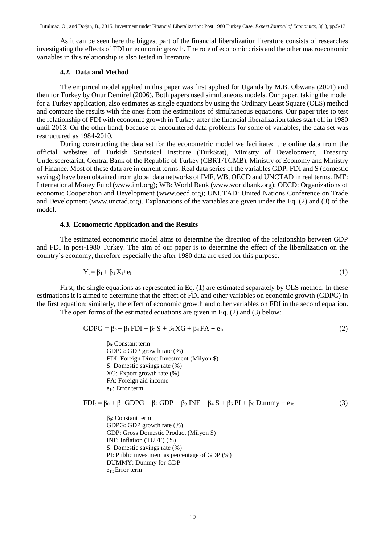As it can be seen here the biggest part of the financial liberalization literature consists of researches investigating the effects of FDI on economic growth. The role of economic crisis and the other macroeconomic variables in this relationship is also tested in literature.

#### **4.2. Data and Method**

The empirical model applied in this paper was first applied for Uganda by M.B. Obwana (2001) and then for Turkey by Onur Demirel (2006). Both papers used simultaneous models. Our paper, taking the model for a Turkey application, also estimates as single equations by using the Ordinary Least Square (OLS) method and compare the results with the ones from the estimations of simultaneous equations. Our paper tries to test the relationship of FDI with economic growth in Turkey after the financial liberalization takes start off in 1980 until 2013. On the other hand, because of encountered data problems for some of variables, the data set was restructured as 1984-2010.

During constructing the data set for the econometric model we facilitated the online data from the official websites of Turkish Statistical Institute (TurkStat), Ministry of Development, Treasury Undersecretariat, Central Bank of the Republic of Turkey (CBRT/TCMB), Ministry of Economy and Ministry of Finance. Most of these data are in current terms. Real data series of the variables GDP, FDI and S (domestic savings) have been obtained from global data networks of IMF, WB, OECD and UNCTAD in real terms. IMF: International Money Fund (www.imf.org); WB: World Bank (www.worldbank.org); OECD: Organizations of economic Cooperation and Development (www.oecd.org); UNCTAD: United Nations Conference on Trade and Development (www.unctad.org). Explanations of the variables are given under the Eq. (2) and (3) of the model.

#### **4.3. Econometric Application and the Results**

The estimated econometric model aims to determine the direction of the relationship between GDP and FDI in post-1980 Turkey. The aim of our paper is to determine the effect of the liberalization on the country`s economy, therefore especially the after 1980 data are used for this purpose.

$$
Y_i = \beta_1 + \beta_1 X_i + e_i \tag{1}
$$

First, the single equations as represented in Eq. (1) are estimated separately by OLS method. In these estimations it is aimed to determine that the effect of FDI and other variables on economic growth (GDPG) in the first equation; similarly, the effect of economic growth and other variables on FDI in the second equation. The open forms of the estimated equations are given in Eq. (2) and (3) below:

$$
GDPG_t = \beta_0 + \beta_1 FDI + \beta_2 S + \beta_3 XG + \beta_4 FA + e_{1t}
$$
\n
$$
\tag{2}
$$

β0: Constant term GDPG: GDP growth rate (%) FDI: Foreign Direct Investment (Milyon \$) S: Domestic savings rate (%) XG: Export growth rate (%) FA: Foreign aid income e1t: Error term

$$
FDI_t = \beta_0 + \beta_1 GDPG + \beta_2 GDP + \beta_3 INF + \beta_4 S + \beta_5 PI + \beta_6 Dummy + e_{1t}
$$
\n(3)

 $β<sub>0</sub>$ : Constant term GDPG: GDP growth rate (%) GDP: Gross Domestic Product (Milyon \$) INF: Inflation (TUFE) (%) S: Domestic savings rate (%) PI: Public investment as percentage of GDP (%) DUMMY: Dummy for GDP e1t: Error term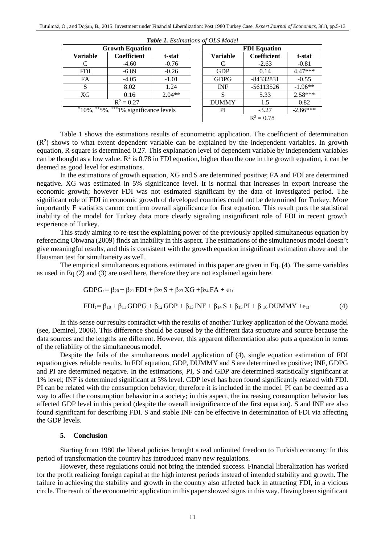| $-$ wore $-$ , button to the $\cup$ , $\cup$ but the there |                    |          |  |                     |                    |           |  |  |
|------------------------------------------------------------|--------------------|----------|--|---------------------|--------------------|-----------|--|--|
| <b>Growth Equation</b>                                     |                    |          |  | <b>FDI</b> Equation |                    |           |  |  |
| <b>Variable</b>                                            | <b>Coefficient</b> | t-stat   |  | <b>Variable</b>     | <b>Coefficient</b> | t-stat    |  |  |
|                                                            | $-4.60$            | $-0.76$  |  |                     | $-2.63$            | $-0.81$   |  |  |
| <b>FDI</b>                                                 | $-6.89$            | $-0.26$  |  | <b>GDP</b>          | 0.14               | 4.47***   |  |  |
| FA                                                         | $-4.05$            | $-1.01$  |  | <b>GDPG</b>         | -84332831          | $-0.55$   |  |  |
|                                                            | 8.02               | 1.24     |  | <b>INF</b>          | $-56113526$        | $-1.96**$ |  |  |
| XG                                                         | 0.16               | $2.04**$ |  |                     | 5.33               | $2.58***$ |  |  |
| $R^2 = 0.27$                                               |                    |          |  | <b>DUMMY</b>        | 1.5                | 0.82      |  |  |
|                                                            |                    |          |  |                     |                    |           |  |  |

|  | Table 1. Estimations of OLS Model |  |  |
|--|-----------------------------------|--|--|
|--|-----------------------------------|--|--|

| <b>Growth Equation</b>                    |                    |          |  | <b>FDI</b> Equation |                    |            |  |  |  |
|-------------------------------------------|--------------------|----------|--|---------------------|--------------------|------------|--|--|--|
| ariable                                   | <b>Coefficient</b> | t-stat   |  | <b>Variable</b>     | <b>Coefficient</b> | t-stat     |  |  |  |
|                                           | $-4.60$            | $-0.76$  |  | C                   | $-2.63$            | $-0.81$    |  |  |  |
| <b>FDI</b>                                | $-6.89$            | $-0.26$  |  | <b>GDP</b>          | 0.14               | $4.47***$  |  |  |  |
| <b>FA</b>                                 | $-4.05$            | $-1.01$  |  | <b>GDPG</b>         | -84332831          | $-0.55$    |  |  |  |
| <sub>S</sub>                              | 8.02               | 1.24     |  | <b>INF</b>          | -56113526          | $-1.96**$  |  |  |  |
| XG                                        | 0.16               | $2.04**$ |  | S                   | 5.33               | 2.58***    |  |  |  |
| $R^2 = 0.27$                              |                    |          |  | <b>DUMMY</b>        | 1.5                | 0.82       |  |  |  |
| $*10\%$ , **5%, ***1% significance levels |                    |          |  | PI                  | $-3.27$            | $-2.66***$ |  |  |  |
|                                           |                    |          |  |                     | $R^2 = 0.78$       |            |  |  |  |

Table 1 shows the estimations results of econometric application. The coefficient of determination  $(R<sup>2</sup>)$  shows to what extent dependent variable can be explained by the independent variables. In growth equation, R-square is determined 0.27. This explanation level of dependent variable by independent variables can be thought as a low value.  $R^2$  is 0.78 in FDI equation, higher than the one in the growth equation, it can be deemed as good level for estimations.

In the estimations of growth equation, XG and S are determined positive; FA and FDI are determined negative. XG was estimated in 5% significance level. It is normal that increases in export increase the economic growth; however FDI was not estimated significant by the data of investigated period. The significant role of FDI in economic growth of developed countries could not be determined for Turkey. More importantly F statistics cannot confirm overall significance for first equation. This result puts the statistical inability of the model for Turkey data more clearly signaling insignificant role of FDI in recent growth experience of Turkey.

This study aiming to re-test the explaining power of the previously applied simultaneous equation by referencing Obwana (2009) finds an inability in this aspect. The estimations of the simultaneous model doesn't give meaningful results, and this is consistent with the growth equation insignificant estimation above and the Hausman test for simultaneity as well.

The empirical simultaneous equations estimated in this paper are given in Eq. (4). The same variables as used in Eq (2) and (3) are used here, therefore they are not explained again here.

$$
GDPG_t = \beta_{20} + \beta_{21} FDI + \beta_{22} S + \beta_{23} XG + \beta_{24} FA + e_{1t}
$$

$$
FDI_{t} = \beta_{10} + \beta_{11} GDPG + \beta_{12} GDP + \beta_{13} INF + \beta_{14} S + \beta_{15} PI + \beta_{16} DUMMY + e_{1t}
$$
 (4)

In this sense our results contradict with the results of another Turkey application of the Obwana model (see, Demirel, 2006). This difference should be caused by the different data structure and source because the data sources and the lengths are different. However, this apparent differentiation also puts a question in terms of the reliability of the simultaneous model.

Despite the fails of the simultaneous model application of (4), single equation estimation of FDI equation gives reliable results. In FDI equation, GDP, DUMMY and S are determined as positive; INF, GDPG and PI are determined negative. In the estimations, PI, S and GDP are determined statistically significant at 1% level; INF is determined significant at 5% level. GDP level has been found significantly related with FDI. PI can be related with the consumption behavior; therefore it is included in the model. PI can be deemed as a way to affect the consumption behavior in a society; in this aspect, the increasing consumption behavior has affected GDP level in this period (despite the overall insignificance of the first equation). S and INF are also found significant for describing FDI. S and stable INF can be effective in determination of FDI via affecting the GDP levels.

#### **5. Conclusion**

Starting from 1980 the liberal policies brought a real unlimited freedom to Turkish economy. In this period of transformation the country has introduced many new regulations.

However, these regulations could not bring the intended success. Financial liberalization has worked for the profit realizing foreign capital at the high interest periods instead of intended stability and growth. The failure in achieving the stability and growth in the country also affected back in attracting FDI, in a vicious circle. The result of the econometric application in this paper showed signs in this way. Having been significant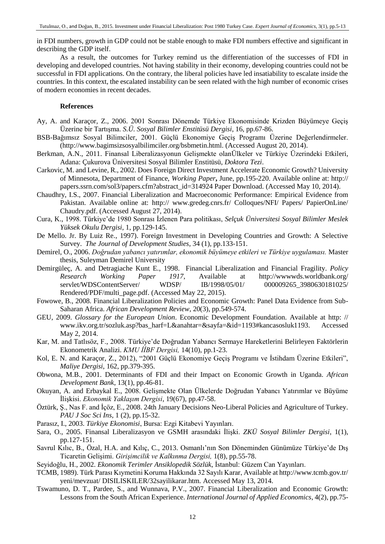in FDI numbers, growth in GDP could not be stable enough to make FDI numbers effective and significant in describing the GDP itself.

As a result, the outcomes for Turkey remind us the differentiation of the successes of FDI in developing and developed countries. Not having stability in their economy, developing countries could not be successful in FDI applications. On the contrary, the liberal policies have led insatiability to escalate inside the countries. In this context, the escalated instability can be seen related with the high number of economic crises of modern economies in recent decades.

#### **References**

- Ay, A. and Karaçor, Z., 2006. 2001 Sonrası Dönemde Türkiye Ekonomisinde Krizden Büyümeye Geçiş Üzerine bir Tartışma. *S.Ü. Sosyal Bilimler Enstitüsü Dergisi*, 16, pp.67-86.
- BSB-Bağımsız Sosyal Bilimciler, 2001. Güçlü Ekonomiye Geçiş Programı Üzerine Değerlendirmeler. [\(http://www.bagimsizsosyalbilimciler.org/bsbmetin.html](http://www.bagimsizsosyalbilimciler.org/bsbmetin.htm). (Accessed August 20, 2014).
- Berkman, A.N., 2011. Finansal Liberalizasyonun Gelişmekte olanÜlkeler ve Türkiye Üzerindeki Etkileri, Adana: Çukurova Üniversitesi Sosyal Bilimler Enstitüsü, *Doktora Tezi*.
- Carkovic, M. and Levine, R., 2002. Does Foreign Direct Investment Accelerate Economic Growth? University of Minnesota, Department of Finance, *Working Paper***,** June, pp.195-220. Available online at: http:// papers.ssrn.com/sol3/papers.cfm?abstract\_id=314924 Paper Download. (Accessed May 10, 2014).
- Chaudhry, I.S., 2007. Financial Liberalization and Macroeconomic Performance: Empirical Evidence from Pakistan. Available online at: [http:// www.gredeg.cnrs.fr/ Colloques/NFI/ Papers/ PapierOnLine/](http://www.gredeg.cnrs.fr/Colloques/NFI/Papers/PapierOnLine/Chaudry.pdf)  [Chaudry.pdf.](http://www.gredeg.cnrs.fr/Colloques/NFI/Papers/PapierOnLine/Chaudry.pdf) (Accessed August 27, 2014).
- Cura, K., 1998. Türkiye'de 1980 Sonrası İzlenen Para politikası, *Selçuk Üniversitesi Sosyal Bilimler Meslek Yüksek Okulu Dergisi*, 1, pp.129-145.
- De Mello. Jr. By Luiz Re., 1997). Foreign Investment in Developing Countries and Growth: A Selective Survey. *The Journal of Development Studies*, 34 (1), pp.133-151.
- Demirel, O., 2006. *Doğrudan yabancı yatırımlar, ekonomik büyümeye etkileri ve Türkiye uygulaması.* Master thesis, Suleyman Demirel University
- Demirgüleç, A. and Detragiache Kunt E., 1998. Financial Liberalization and Financial Fragility. *Policy Research Working Paper 1917*, Available at [http://wwwwds.worldbank.org/](http://wwwwds.worldbank.org/servlet/WDSContentServer/WDSP/IB/1998/05/01/000009265_3980630181025/Rendered/PDF/multi_page.pdf)  [servlet/WDSContentServer/ WDSP/ IB/1998/05/01/ 000009265\\_3980630181025/](http://wwwwds.worldbank.org/servlet/WDSContentServer/WDSP/IB/1998/05/01/000009265_3980630181025/Rendered/PDF/multi_page.pdf)  [Rendered/PDF/multi\\_page.pdf.](http://wwwwds.worldbank.org/servlet/WDSContentServer/WDSP/IB/1998/05/01/000009265_3980630181025/Rendered/PDF/multi_page.pdf) (Accessed May 22, 2015).
- Fowowe, B., 2008. Financial Liberalization Policies and Economic Growth: Panel Data Evidence from Sub-Saharan Africa. *African Development Review*, 20(3), pp.549-574.
- GEU, 2009. *Glossary for the European Union*. Economic Development Foundation. Available at http: // www.ikv.org.tr/sozluk.asp?bas\_harf=L&anahtar=&sayfa=&id=1193#kancasosluk1193. Accessed May 2, 2014.
- Kar, M. and Tatlısöz, F., 2008. Türkiye'de Doğrudan Yabancı Sermaye Hareketlerini Belirleyen Faktörlerin Ekonometrik Analizi. *KMU İİBF Dergisi,* 14(10), pp.1-23.
- Kol, E. N. and Karaçor, Z., 2012), "2001 Güçlü Ekonomiye Geçiş Programı ve İstihdam Üzerine Etkileri", *Maliye Dergisi*, 162, pp.379-395.
- Obwona, M.B., 2001. Determinants of FDI and their Impact on Economic Growth in Uganda. *African Development Bank*, 13(1), pp.46-81.
- Okuyan, A. and Erbaykal E., 2008. Gelişmekte Olan Ülkelerde Doğrudan Yabancı Yatırımlar ve Büyüme İlişkisi. *Ekonomik Yaklaşım Dergisi*, 19(67), pp.47-58.
- Öztürk, Ş., Nas F. and İçöz, E., 2008. 24th January Decisions Neo-Liberal Policies and Agriculture of Turkey. *PAU J Soc Sci Ins*, 1 (2), pp.15-32.
- Parasız, I., 2003. *Türkiye Ekonomisi*, Bursa: Ezgi Kitabevi Yayınları.
- Sara, O., 2005. Finansal Liberalizasyon ve GSMH arasındaki İlişki. *ZKÜ Sosyal Bilimler Dergisi*, 1(1), pp.127-151.
- Savrul Kılıc, B., Özal, H.A. and Kılıç, C., 2013. Osmanlı'nın Son Döneminden Günümüze Türkiye'de Dış Ticaretin Gelişimi. *Girişimcilik ve Kalkınma Dergisi,* 1(8), pp.55-78.
- Seyidoğlu, H., 2002. *Ekonomik Terimler Ansiklopedik Sözlük*, İstanbul: Güzem Can Yayınları.
- TCMB, 1989). Türk Parası Kıymetini Koruma Hakkında 32 Sayılı Karar, Available at http://www.tcmb.gov.tr/ yeni/mevzuat/ DISILISKILER/32sayilikarar.htm. Accessed May 13, 2014.
- Tswamuno, D. T., Pardee, S., and Wunnava, P.V., 2007. Financial Liberalization and Economic Growth: Lessons from the South African Experience. *International Journal of Applied Economics*, 4(2), pp.75-